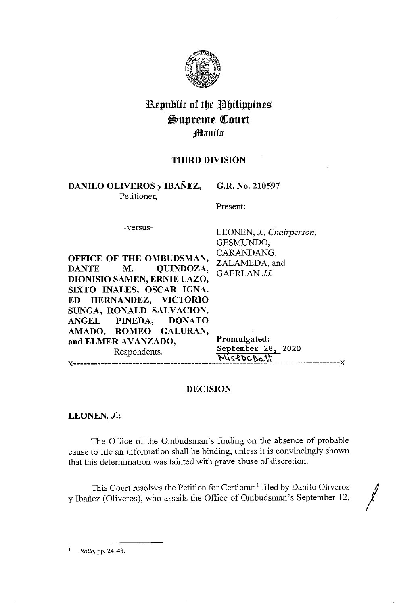

# Republic of the Philippines Supreme Court Jmanila

# **THIRD DIVISION**

**DANILO OLIVEROS y IBANEZ, G.R. No. 210597**  Petitioner,

Present:

-versus-

**OFFICE OF THE OMBUDSMAN, DANTE M. QUINDOZA, DIONISIO SAMEN, ERNIE LAZO, SIXTO INALES, OSCAR IGNA, ED HERNANDEZ, VICTORIO SUNGA, RONALD SALVACION, ANGEL PINEDA, DONATO AMADO, ROMEO GALURAN,** 

LEONEN, J., *Chairperson,*  GESMUNDO, CARANDANG, ZALAMEDA, and GAERLAN JJ.

and ELMER AVANZADO, Promulgated: Respondents. September 28, 2020 **M\~'l;)e,'oQ,-\1**  x-----------------------------------------------------------------------------x

## **DECISION**

**LEONEN,** *J.:* 

The Office of the Ombudsman's finding on the absence of probable cause to file an information shall be binding, unless it is convincingly shown that this determination was tainted with grave abuse of discretion.

This Court resolves the Petition for Certiorari<sup>1</sup> filed by Danilo Oliveros y Ibanez (Oliveros), who assails the Office of Ombudsman's September 12,

1 *Rollo,* pp. 24-43.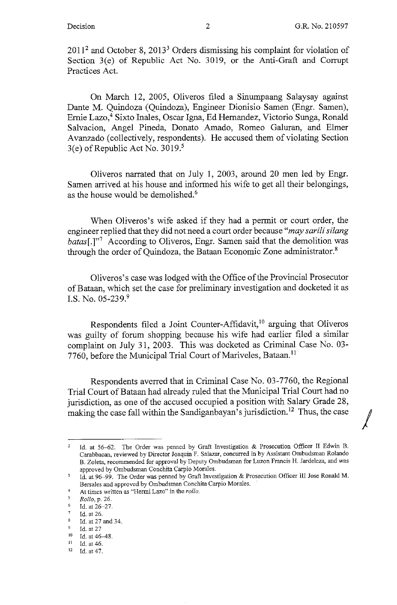$\sqrt{2}$ 

 $2011<sup>2</sup>$  and October 8,  $2013<sup>3</sup>$  Orders dismissing his complaint for violation of Section 3(e) of Republic Act No. 3019, or the Anti-Graft and Corrupt Practices Act.

On March 12, 2005, Oliveros filed a Sinumpaang Salaysay against Dante M. Quindoza (Quindoza), Engineer Dionisio Samen (Engr. Samen), Ernie Lazo,<sup>4</sup> Sixto Inales, Oscar Igna, Ed Hernandez, Victorio Sunga, Ronald Salvacion, Angel Pineda, Donato Amado, Romeo Galuran, and Elmer Avanzado (collectively, respondents). He accused them of violating Section 3(e) of Republic Act No. 3019.<sup>5</sup>

Oliveros narrated that on July 1, 2003, around 20 men led by Engr. Samen arrived at his house and informed his wife to get all their belongings, as the house would be demolished.<sup>6</sup>

When Oliveros's wife asked if they had a permit or court order, the engineer replied that they did not need a court order because *"may sarili silang batas*<sup>[1,]"7</sup> According to Oliveros, Engr. Samen said that the demolition was through the order of Quindoza, the Bataan Economic Zone administrator.<sup>8</sup>

Oliveros's case was lodged with the Office of the Provincial Prosecutor of Bataan, which set the case for preliminary investigation and docketed it as LS. No. 05-239.<sup>9</sup>

Respondents filed a Joint Counter-Affidavit,<sup>10</sup> arguing that Oliveros was guilty of forum shopping because his wife had earlier filed a similar complaint on July 31, 2003. This was docketed as Criminal Case No. 03- 7760, before the Municipal Trial Court of Mariveles, Bataan.<sup>11</sup>

Respondents averred that in Criminal Case No. 03-7760, the Regional Trial Court of Bataan had already ruled that the Municipal Trial Court had no jurisdiction, as one of the accused occupied a position with Salary Grade 28, making the case fall within the Sandiganbayan's jurisdiction.12 Thus, the case

Id. at 56-62. The Order was penned by Graft Investigation & Prosecution Officer II Edwin B. Carabbacan, reviewed by Director Joaquin F. Salazar, concurred in by Assistant Ombudsman Rolando B. Zoleta, recommended for approval by Deputy Ombudsman for Luzon Francis H. Jardeleza, and was approved by Ombudsman Conchita Carpio Morales.

Id. at 96-99. The Order was penned by Graft Investigation & Prosecution Officer IIJ Jose Ronald M.  $\overline{3}$ Bersales and approved by Ombudsman Conchita Carpio Morales.

<sup>4</sup> **At times written as "Hermi Lazo" in the** *rollo.* 

<sup>5</sup> *Rollo,* p. 26.

 $6$  Id. at  $26-27$ .

<sup>&#</sup>x27; Id. at 26.

<sup>&</sup>lt;sup>8</sup> Id. at 27 and 34.

<sup>9</sup> Id. at 27<br>
<sup>10</sup> Id. at 46-48.<br>
<sup>11</sup> Id. at 46.<br>
<sup>12</sup> Id. at 47.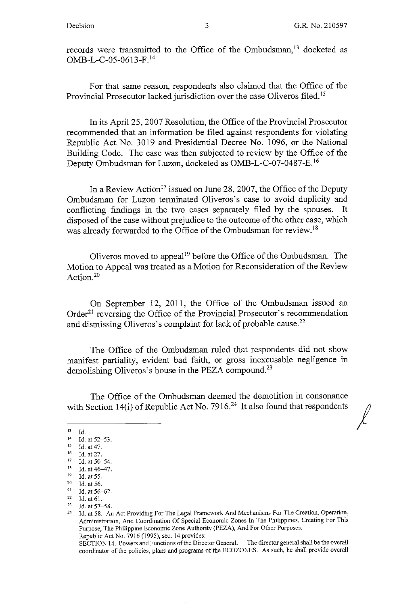*I* 

records were transmitted to the Office of the Ombudsman,<sup>13</sup> docketed as OMB-L-C-05-0613-F.<sup>14</sup>

For that same reason, respondents also claimed that the Office of the Provincial Prosecutor lacked jurisdiction over the case Oliveros filed. <sup>15</sup>

In its April 25, 2007 Resolution, the Office of the Provincial Prosecutor recommended that an information be filed against respondents for violating Republic Act No. 3019 and Presidential Decree No. 1096, or the National Building Code. The case was then subjected to review by the Office of the Deputy Ombudsman for Luzon, docketed as OMB-L-C-07-0487-E.<sup>16</sup>

In a Review Action<sup>17</sup> issued on June 28, 2007, the Office of the Deputy Ombudsman for Luzon terminated Oliveros's case to avoid duplicity and conflicting findings in the two cases separately filed by the spouses. It disposed of the case without prejudice to the outcome of the other case, which was already forwarded to the Office of the Ombudsman for review. <sup>18</sup>

Oliveros moved to appeal<sup>19</sup> before the Office of the Ombudsman. The Motion to Appeal was treated as a Motion for Reconsideration of the Review Action.<sup>20</sup>

On September 12, 2011, the Office of the Ombudsman issued an Order<sup>21</sup> reversing the Office of the Provincial Prosecutor's recommendation and dismissing Oliveros's complaint for lack of probable cause.<sup>22</sup>

The Office of the Ombudsman ruled that respondents did not show manifest partiality, evident bad faith, or gross inexcusable negligence in demolishing Oliveros's house in the PEZA compound.<sup>23</sup>

The Office of the Ombudsman deemed the demolition in consonance with Section 14(i) of Republic Act No. 7916.<sup>24</sup> It also found that respondents

<sup>13</sup> Id.<br>
14 Id. at 52-53.<br>
15 Id. at 47.<br>
16 Id. at 27.<br>
17 Id. at 50-54.<br>
18 Id. at 46-47.<br>
19 Id. at 55.

<sup>&</sup>lt;sup>20</sup> Id. at 56.<br><sup>21</sup> Id. at 56–62.

<sup>22</sup> Id. at 61.<br>23 Id. at 57–58.<br>24 Id. at 58. An Act Providing For The Legal Framework And Mechanisms For The Creation, Operation, Administration, And Coordination Of Special Economic Zones In The Philippines, Creating For This Purpose, The Philippine Economic Zone Authority (PEZA), And For Other Purposes. Republic Act No. 7916 (1995), sec. 14 provides:

SECTION 14. Powers and Functions of the Director General. - The director general shall be the overall coordinator of the policies, plans and programs of the ECO ZONES. As such, he shall provide overall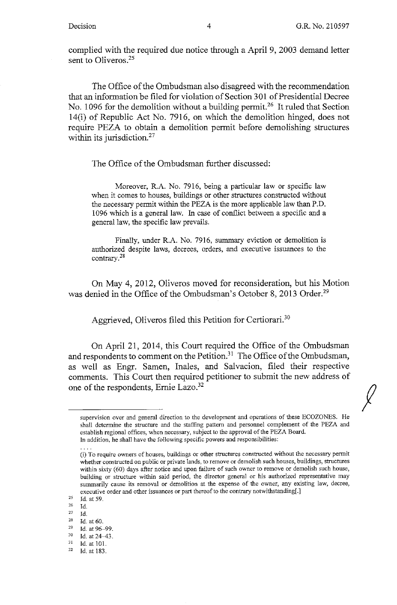$\int$ 

complied with the required due notice through a April 9, 2003 demand letter sent to Oliveros.<sup>25</sup>

The Office of the Ombudsman also disagreed with the recommendation that an information be filed for violation of Section 301 of Presidential Decree No. 1096 for the demolition without a building permit.<sup>26</sup> It ruled that Section 14(i) of Republic Act No. 7916, on which the demolition hinged, does not require PEZA to obtain a demolition permit before demolishing structures within its jurisdiction.<sup>27</sup>

The Office of the Ombudsman further discussed:

Moreover, R.A. No. 7916, being a particular law or specific law when it comes to houses, buildings or other structures constructed without the necessary permit within the PEZA is the more applicable law than P.D. 1096 which is a general law. In case of conflict between a specific and a general law, the specific law prevails.

Finally, under R.A. No. 7916, summary eviction or demolition is authorized despite laws, decrees, orders, and executive issuances to the contrary.28

On May 4, 2012, Oliveros moved for reconsideration, but his Motion was denied in the Office of the Ombudsman's October 8, 2013 Order.<sup>29</sup>

Aggrieved, Oliveros filed this Petition for Certiorari.<sup>30</sup>

On April 21, 2014, this Court required the Office of the Ombudsman and respondents to comment on the Petition.<sup>31</sup> The Office of the Ombudsman, as well as Engr. Samen, Inales, and Salvacion, filed their respective comments. This Court then required petitioner to submit the new address of one of the respondents, Ernie Lazo.32

supervision over and general direction to the development and operations of these ECOZONES. He shall determine the structure and the staffing pattern and personnel complement of the PEZA and establish regional offices, when necessary, subject to the approval of the PEZA Board. **In addition, he shall have the following specific powers and responsibilities:** 

**<sup>(</sup>i) To require owners of houses, buildings or other structures constructed without the necessary permit**  whether constructed on public or private lands, to remove or demolish such houses, buildings, structures within sixty (60) days after notice and upon failure of such owner to remove or demolish such house, **building or structure within said period, the director general or his authorized representative may**  summarily cause its removal or demolition at the expense of the owner, any existing law, decree, executive order and other issuances or part thereof to the contrary notwithstanding[.]

 $25$  Id. at 59.

 $\frac{26}{27}$  Id.

<sup>&</sup>lt;sup>27</sup> Id. at 60.<br>
<sup>29</sup> Id. at 96-99.<br>
<sup>30</sup> Id. at 24-43.<br>
<sup>31</sup> Id. at 101.<br>
<sup>32</sup> Id. at 183.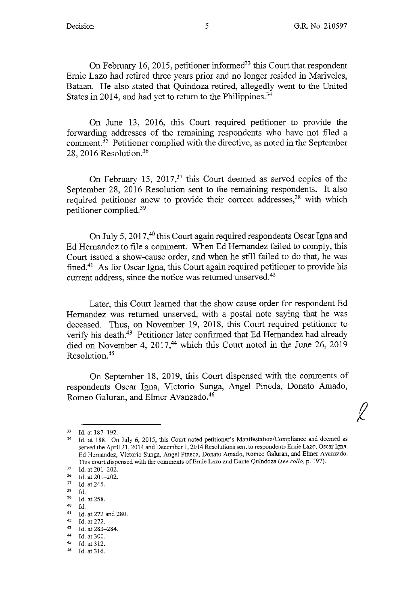$\ell$ 

On February 16, 2015, petitioner informed<sup>33</sup> this Court that respondent Ernie Lazo had retired three years prior and no longer resided in Mariveles, Bataan. He also stated that Quindoza retired, allegedly went to the United States in 2014, and had yet to return to the Philippines.<sup>34</sup>

On June 13, 2016, this Court required petitioner to provide the forwarding addresses of the remaining respondents who have not filed a comment.<sup> $35$ </sup> Petitioner complied with the directive, as noted in the September 28, 2016 Resolution.36

On February 15, 2017,<sup>37</sup> this Court deemed as served copies of the September 28, 2016 Resolution sent to the remaining respondents. It also required petitioner anew to provide their correct addresses,<sup>38</sup> with which petitioner complied. <sup>39</sup>

On July 5, 2017,<sup>40</sup> this Court again required respondents Oscar Igna and Ed Hernandez to file a comment. When Ed Hernandez failed to comply, this Court issued a show-cause order, and when he still failed to do that, he was fined.41 As for Oscar Igna, this Court again required petitioner to provide his current address, since the notice was returned unserved.<sup>42</sup>

Later, this Court learned that the show cause order for respondent Ed Hernandez was returned unserved, with a postal note saying that he was deceased. Thus, on November 19, 2018, this Court required petitioner to verify his death.<sup>43</sup> Petitioner later confirmed that Ed Hernandez had already died on November 4, 2017,<sup>44</sup> which this Court noted in the June 26, 2019 Resolution. 45

On September 18, 2019, this Court dispensed with the comments of respondents Oscar lgna, Victorio Sunga, Angel Pineda, Donato Amado, Romeo Galuran, and Elmer Avanzado.<sup>46</sup>

Id. at 316.

<sup>&</sup>lt;sup>33</sup> Id. at 187-192.<br><sup>34</sup> Id. at 188. On July 6, 2015, this Court noted petitioner's Manifestation/Compliance and deemed as served the April 21, 2014 and December 1, 2014 Resolutions sentto respondents Ernie Lazo, Oscar lgna, Ed Hernandez, Victoria Sunga, Angel Pineda, Donato Amado, Romeo Galuran, and Elmer Avanzado. This court dispensed with the comments of Ernie Lazo and Dante Quindoza (see *rollo*, p. 197).<br><sup>35</sup> Id. at 201-202.<br><sup>36</sup> Id. at 201-202.

<sup>37</sup> Id. at 245.

 $rac{38}{39}$  Id.  $^{39}$  Id. at 258.

<sup>40</sup> Id.<br>
41 Id. at 272 and 280.<br>
42 Id. at 272.<br>
44 Id. at 283-284.<br>
45 Id. at 312.<br>
45 Id. at 312.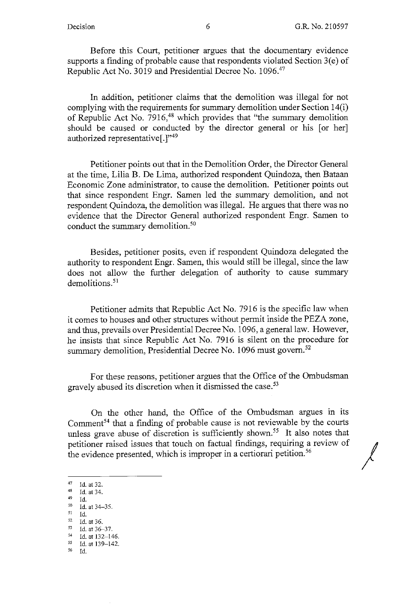Before this Court, petitioner argues that the documentary evidence supports a finding of probable cause that respondents violated Section  $3(e)$  of Republic Act No. 3019 and Presidential Decree No. 1096.<sup>47</sup>

In addition, petitioner claims that the demolition was illegal for not complying with the requirements for summary demolition under Section 14(i) of Republic Act No. 7916,<sup>48</sup> which provides that "the summary demolition should be caused or conducted by the director general or his [or her] authorized representative[.]"49

Petitioner points out that in the Demolition Order, the Director General at the time, Lilia B. De Lima, authorized respondent Quindoza, then Bataan Economic Zone administrator, to cause the demolition. Petitioner points out that since respondent Engr. Samen led the summary demolition, and not respondent Quindoza, the demolition was illegal. He argues that there was no evidence that the Director General authorized respondent Engr. Samen to conduct the summary demolition.<sup>50</sup>

Besides, petitioner posits, even if respondent Quindoza delegated the authority to respondent Engr. Samen, this would still be illegal, since the law does not allow the further delegation of authority to cause summary demolitions.<sup>51</sup>

Petitioner admits that Republic Act No. 7916 is the specific law when it comes to houses and other structures without permit inside the PEZA zone, and thus, prevails over Presidential Decree No. 1096, a general law. However, he insists that since Republic Act No. 7916 is silent on the procedure for summary demolition, Presidential Decree No. 1096 must govern.<sup>52</sup>

For these reasons, petitioner argues that the Office of the Ombudsman gravely abused its discretion when it dismissed the case.<sup>53</sup>

On the other hand, the Office of the Ombudsman argues in its Comment<sup>54</sup> that a finding of probable cause is not reviewable by the courts unless grave abuse of discretion is sufficiently shown.<sup>55</sup> It also notes that petitioner raised issues that touch on factual findings, requiring a review of / the evidence presented, which is improper in a certiorari petition.<sup>56</sup>

56 Id.

<sup>47</sup> Id. at 32.<br>
48 Id. at 34.<br>
50 Id. at 34-35.<br>
51 Id.

<sup>51</sup> Id.

<sup>52</sup> Id. at 36. 53 Id. at 36-37. 54 Id. at 132-146. 55 Id. at 139-142.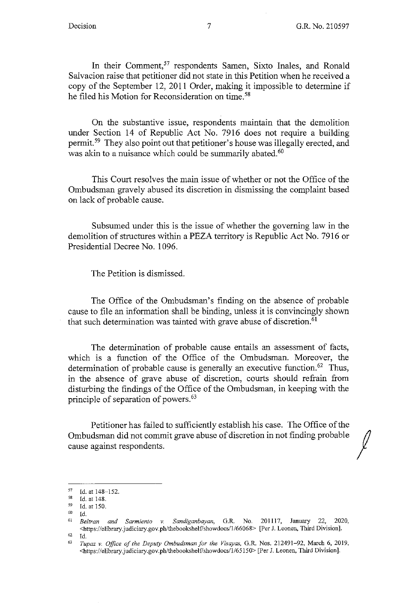In their Comment, $57$  respondents Samen, Sixto Inales, and Ronald Salvacion raise that petitioner did not state in this Petition when he received a copy of the September 12, 2011 Order, making it impossible to determine if he filed his Motion for Reconsideration on time.<sup>58</sup>

On the substantive issue, respondents maintain that the demolition under Section 14 of Republic Act No. 7916 does not require a building permit.<sup>59</sup> They also point out that petitioner's house was illegally erected, and was akin to a nuisance which could be summarily abated.<sup>60</sup>

This Court resolves the main issue of whether or not the Office of the Ombudsman gravely abused its discretion in dismissing the complaint based on lack of probable cause.

Subsumed under this is the issue of whether the governing law in the demolition of structures within a PEZA territory is Republic Act No. 7916 or Presidential Decree No. 1096.

The Petition is dismissed.

The Office of the Ombudsman's finding on the absence of probable cause to file an information shall be binding, unless it is convincingly shown that such determination was tainted with grave abuse of discretion.<sup>61</sup>

The determination of probable cause entails an assessment of facts, which is a function of the Office of the Ombudsman. Moreover, the determination of probable cause is generally an executive function.<sup>62</sup> Thus, in the absence of grave abuse of discretion, courts should refrain from disturbing the findings of the Office of the Ombudsman, in keeping with the principle of separation of powers.<sup>63</sup>

Petitioner has failed to sufficiently establish his case. The Office of the Ombudsman did not commit grave abuse of discretion in not finding probable cause against respondents.

'° Id.

 $\begin{array}{r} 57 \\ 58 \\ 1 \end{array}$  Id. at 148.<br>  $\begin{array}{r} 59 \\ 1 \end{array}$  Id. at 150.<br>  $\begin{array}{r} 59 \\ 14 \end{array}$  Id.

<sup>61</sup>*Beltran and Sarmiento v. Sandiganbayan,* G.R. No. 201117, January 22, 2020, <https://elibrary.judiciary.gov.ph/thebaokshelVshowdocs/1/66068> [Per J. Leanen, Third Division].

<sup>62</sup>Id. 63 *Tupaz v. Office of the Deputy Ombudsman for the Visayas,* G.R. Nos. 212491-92, March 6, 2019, <https://elibrary.judiciary.gav.ph/thebaokshelVshawdocs/1/65150> [Per J. Leanen, Third Division].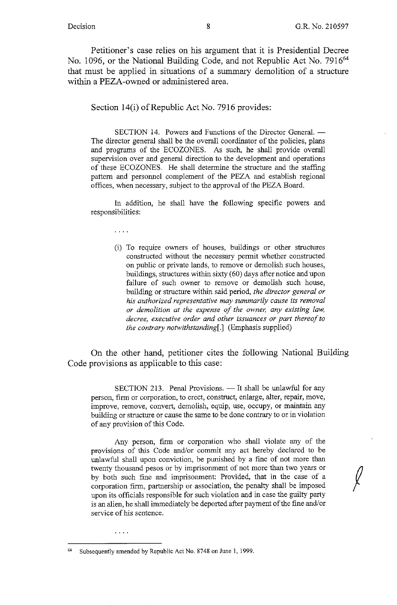Petitioner's case relies on his argument that it is Presidential Decree No. 1096, or the National Building Code, and not Republic Act No. 7916<sup>64</sup> that must be applied in situations of a summary demolition of a structure within a PEZA-owned or administered area.

Section 14(i) of Republic Act No. 7916 provides:

SECTION 14. Powers and Functions of the Director General. -The director general shall be the overall coordinator of the policies, plans and programs of the ECOZONES. As such, he shall provide overall supervision over and general direction to the development and operations of these ECOZONES. He shall determine the structure and the staffing pattern and personnel complement of the PEZA and establish regional offices, when necessary, subject to the approval of the PEZA Board.

In addition, he shall have the following specific powers and responsibilities:

 $\mathbf{z}$  ,  $\mathbf{z}$  ,  $\mathbf{z}$ 

(i) To require owners of houses, buildings or other structures constructed without the necessary permit whether constructed on public or private lands, to remove or demolish such houses, buildings, structures within sixty (60) days after notice and upon failure of such owner to remove or demolish such house, building or structure within said period, *the director general or his authorized representative may summarily cause its removal or demolition at the expense of the owner, any existing law, decree, executive order and other issuances or part thereof to the contrary notwithstanding[.]* (Emphasis supplied)

On the other hand, petitioner cites the following National Building Code provisions as applicable to this case:

SECTION 213. Penal Provisions. - It shall be unlawful for any person, firm or corporation, to erect, construct, enlarge, alter, repair, move, improve, remove, convert, demolish, equip, use, occupy, or maintain any building or structure or cause the same to be done contrary to or in violation of any provision of this Code.

Any person, finn or corporation who shall violate any of the provisions of this Code and/or commit any act hereby declared to be unlawful shall upon conviction, be punished by a fine of not more than twenty thousand pesos or by imprisonment of not more than two years or by both such fine and imprisonment: Provided, that in the case of a corporation firm, partnership or association, the penalty shall be imposed upon its officials responsible for such violation and in case the guilty party is an alien, he shall immediately be deported after payment of the fine and/or service of his sentence.

. . . .

Subsequently amended by Republic Act No. 8748 on June 1, 1999.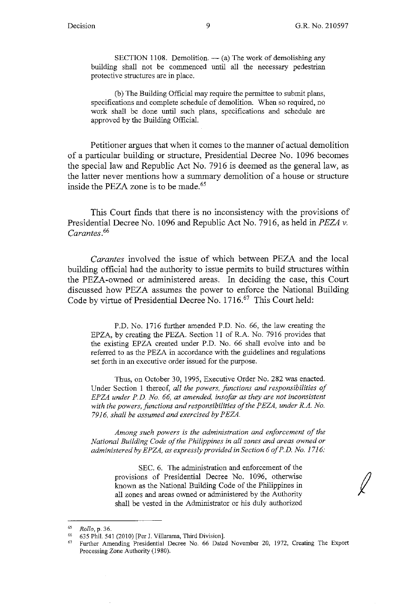SECTION 1108. Demolition.  $-$  (a) The work of demolishing any building shall not be commenced until all the necessary pedestrian protective structures are in place.

(b) The Building Official may require the permittee to submit plans, specifications and complete schedule of demolition. When so required, no work shall be done until such plans, specifications and schedule are approved by the Building Official.

Petitioner argues that when it comes to the manner of actual demolition of a particular building or structure, Presidential Decree No. I 096 becomes the special law and Republic Act No. 7916 is deemed as the general law, as the latter never mentions how a summary demolition of a house or structure inside the PEZA zone is to be made. 65

This Court finds that there is no inconsistency with the provisions of Presidential Decree No. 1096 and Republic Act No. 7916, as held in *PEZA v. Carantes.* <sup>66</sup>

*Carantes* involved the issue of which between PEZA and the local building official had the authority to issue permits to build structures within the PEZA-owned or administered areas. In deciding the case, this Court discussed how PEZA assumes the power to enforce the National Building Code by virtue of Presidential Decree No. 1716.<sup>67</sup> This Court held:

P.D. No. 1716 further amended P.D. No. 66, the law creating the EPZA, by creating the PEZA. Section 11 of R.A. No. 7916 provides that the existing EPZA created under P.D. No. 66 shall evolve into and be referred to as the PEZA in accordance with the guidelines and regulations set forth in an executive order issued for the purpose.

Thus, on October 30, 1995, Executive Order No. 282 was enacted. Under Section 1 thereof, *all the powers, junctions and responsibilities of EPZA under P.D. No. 66, as amended, insofar as they are not inconsistent with the powers, functions and responsibilities of the PEZA, under R.A. No.*  7916, shall be assumed and exercised by PEZA.

*Among such powers is the administration and enforcement of the National Building Code of the Philippines in all zones and areas owned or administered by EPZA, as expressly provided in Section 6 of P.D. No. 1716:* 

> SEC. 6. The administration and enforcement of the provisions of Presidential Decree No. 1096, otherwise known as the National Building Code of the Philippines in all zones and areas owned or administered by the Authority shall be vested in the Administrator or his duly authorized

<sup>65</sup>*Rollo,* p. 36.

<sup>66 635</sup> Phil. 541 (2010) [Per J. Villarama, Third Division].

<sup>&</sup>lt;sup>67</sup> Further Amending Presidential Decree No. 66 Dated November 20, 1972, Creating The Export Processing Zone Authority (1980).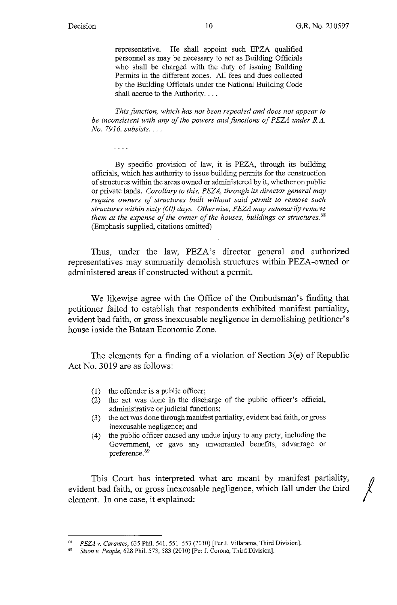representative. He shall appoint such EPZA qualified personnel as may be necessary to act as Building Officials who shall be charged with the duty of issuing Building Permits in the different zones. All fees and dues collected by the Building Officials under the National Building Code shall accrue to the Authority....

*This function, which has not been repealed and does not appear to*  be inconsistent with any of the powers and functions of PEZA under R.A. *No. 79 I 6, subsists .* ...

 $\sim 100$  km s  $^{-1}$ 

By specific provision of law, it is PEZA, through its building officials, which has authority to issue building permits for the construction of structures within the areas owned or administered by it, whether on public or private lands. *Corollary to this, PEZA, through its director general may require owners of structures built without said permit to remove such structures within sixty (60) days. Otherwise, P EZA may summarily remove them at the expense of the owner of the houses, buildings or structures.* <sup>68</sup> (Emphasis supplied, citations omitted)

Thus, under the law, PEZA's director general and authorized representatives may summarily demolish structures within PEZA-owned or administered areas if constructed without a permit.

We likewise agree with the Office of the Ombudsman's finding that petitioner failed to establish that respondents exhibited manifest partiality, evident bad faith, or gross inexcusable negligence in demolishing petitioner's house inside the Bataan Economic Zone.

The elements for a finding of a violation of Section  $3(e)$  of Republic Act No. 3019 are as follows:

- (1) the offender is a public officer;
- (2) the act was done in the discharge of the public officer's official, administrative or judicial functions;
- (3) the act was done through manifest partiality, evident bad faith, or gross inexcusable negligence; and
- (4) the public officer caused any undue injury to any party, including the Government, or gave any unwarranted benefits, advantage or preference. 69

This Court has interpreted what are meant by manifest partiality, *()*  evident bad faith, or gross inexcusable negligence, which fall under the third / element. In one case, it explained:

<sup>68</sup>*PEZA* v. *Carantes,* 635 Phil. 541, 551-553 (2010) [Per J. Villarama, Third Division].

<sup>69</sup> *Sison v. People,* 628 Phil. 573,583 (2010) [Per J. Corona, Third Division].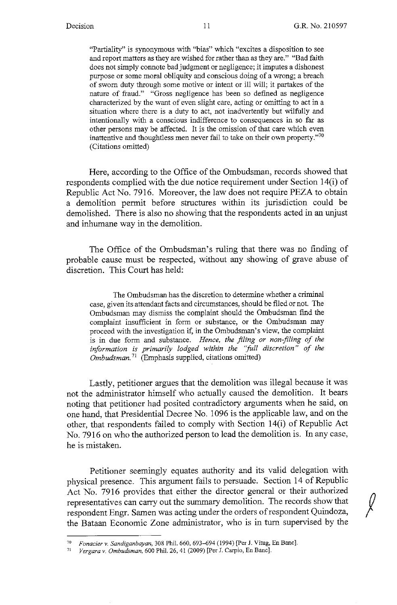"Partiality" is synonymous with "bias" which "excites a disposition to see and report matters as they are wished for rather than as they are." "Bad faith does not simply connote bad judgment or negligence; it imputes a dishonest purpose or some moral obliquity and conscious doing of a wrong; a breach of sworn duty through some motive or intent or ill will; it partakes of the nature of fraud." "Gross negligence has been so defined as negligence characterized by the want of even slight care, acting or omitting to act in a situation where there is a duty to act, not inadvertently but wilfully and intentionally with a conscious indifference to consequences in so far as other persons may be affected. It is the omission of that care which even inattentive and thoughtless men never fail to take on their own property."<sup>70</sup> (Citations omitted)

Here, according to the Office of the Ombudsman, records showed that respondents complied with the due notice requirement under Section 14(i) of Republic Act No. 7916. Moreover, the law does not require PEZA to obtain a demolition permit before structures within its jurisdiction could be demolished. There is also no showing that the respondents acted in an unjust and inhumane way in the demolition.

The Office of the Ombudsman's ruling that there was no finding of probable cause must be respected, without any showing of grave abuse of discretion. This Court has held:

The Ombudsman has the discretion to determine whether a criminal case, given its attendant facts and circumstances, should be filed or not. The Ombudsman may dismiss the complaint should the Ombudsman find the complaint insufficient in form or substance, or the Ombudsman may proceed with the investigation if, in the Ombudsman's view, the complaint is in due form and substance. *Hence, the filing or non-filing of the information* is *primarily lodged within the "full discretion" of the Ombudsman.* 71 (Emphasis supplied, citations omitted)

Lastly, petitioner argues that the demolition was illegal because it was not the administrator himself who actually caused the demolition. It bears noting that petitioner had posited contradictory arguments when he said, on one hand, that Presidential Decree No. 1096 is the applicable law, and on the other, that respondents failed to comply with Section 14(i) of Republic Act No. 7916 on who the authorized person to lead the demolition is. In any case, he is mistaken.

Petitioner seemingly equates authority and its valid delegation with physical presence. This argument fails to persuade. Section 14 of Republic Petitioner seemingly equates authority and its valid delegation with<br>physical presence. This argument fails to persuade. Section 14 of Republic<br>Act No. 7916 provides that either the director general or their authorized representatives can carry out the summary demolition. The records show that respondent Engr. Samen was acting under the orders of respondent Quindoza, the Bataan Economic Zone administrator, who is in turn supervised by the

<sup>7°</sup> *Fonacier v. Sandiganbayan,* 308 Phil. 660, 693--094 (1994) [Per J. Vitug, En Banc]. 71 *Vergara v. Ombudsman,* 600 Phil. 26, 41 (2009) [Per J. Carpio, En Banc].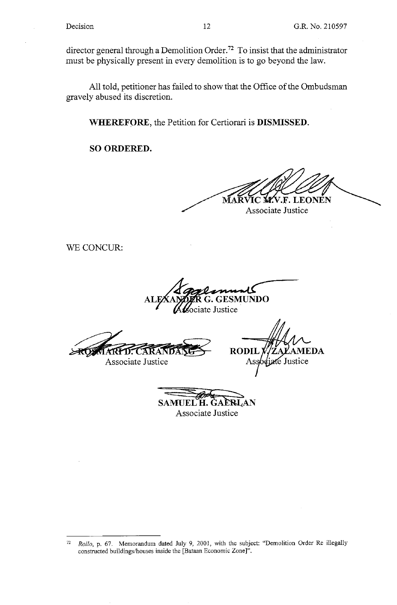director general through a Demolition Order.<sup>72</sup> To insist that the administrator must be physically present in every demolition is to go beyond the law.

All told, petitioner has failed to show that the Office of the Ombudsman gravely abused its discretion.

**WHEREFORE,** the Petition for Certiorari is **DISMISSED.** 

**SO ORDERED.** 

**EONEN** 

Associate Justice

WE CONCUR:

**G.GESMUNDO**  ate Justice

**#ARPD: CARANDA** Associate Justice

**RODIL** EDA Ass é Justice

**SAMUEL H. GAÈRLAN** Associate Justice

<sup>72</sup>*Rollo,* p. 67. Memorandum dated July 9, 2001, with the subject: "Demolition Order Re illegally constructed buildings/houses inside the [Bataan Economic Zone]".